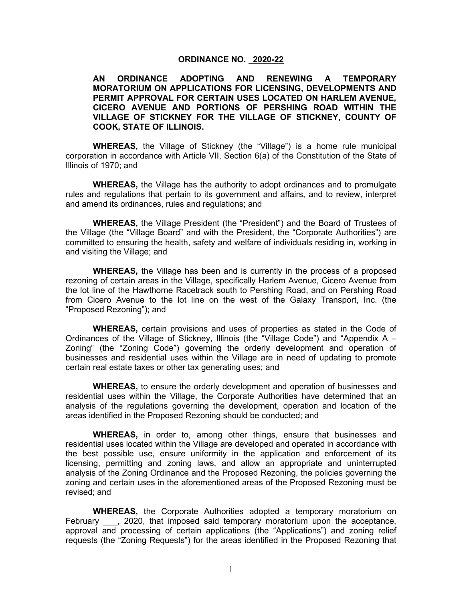#### **ORDINANCE NO. 2020-22**

**AN ORDINANCE ADOPTING AND RENEWING A TEMPORARY MORATORIUM ON APPLICATIONS FOR LICENSING, DEVELOPMENTS AND PERMIT APPROVAL FOR CERTAIN USES LOCATED ON HARLEM AVENUE, CICERO AVENUE AND PORTIONS OF PERSHING ROAD WITHIN THE VILLAGE OF STICKNEY FOR THE VILLAGE OF STICKNEY, COUNTY OF COOK, STATE OF ILLINOIS.**

**WHEREAS,** the Village of Stickney (the "Village") is a home rule municipal corporation in accordance with Article VII, Section 6(a) of the Constitution of the State of Illinois of 1970; and

**WHEREAS,** the Village has the authority to adopt ordinances and to promulgate rules and regulations that pertain to its government and affairs, and to review, interpret and amend its ordinances, rules and regulations; and

**WHEREAS,** the Village President (the "President") and the Board of Trustees of the Village (the "Village Board" and with the President, the "Corporate Authorities") are committed to ensuring the health, safety and welfare of individuals residing in, working in and visiting the Village; and

**WHEREAS,** the Village has been and is currently in the process of a proposed rezoning of certain areas in the Village, specifically Harlem Avenue, Cicero Avenue from the lot line of the Hawthorne Racetrack south to Pershing Road, and on Pershing Road from Cicero Avenue to the lot line on the west of the Galaxy Transport, Inc. (the "Proposed Rezoning"); and

**WHEREAS,** certain provisions and uses of properties as stated in the Code of Ordinances of the Village of Stickney, Illinois (the "Village Code") and "Appendix A – Zoning" (the "Zoning Code") governing the orderly development and operation of businesses and residential uses within the Village are in need of updating to promote certain real estate taxes or other tax generating uses; and

**WHEREAS,** to ensure the orderly development and operation of businesses and residential uses within the Village, the Corporate Authorities have determined that an analysis of the regulations governing the development, operation and location of the areas identified in the Proposed Rezoning should be conducted; and

**WHEREAS,** in order to, among other things, ensure that businesses and residential uses located within the Village are developed and operated in accordance with the best possible use, ensure uniformity in the application and enforcement of its licensing, permitting and zoning laws, and allow an appropriate and uninterrupted analysis of the Zoning Ordinance and the Proposed Rezoning, the policies governing the zoning and certain uses in the aforementioned areas of the Proposed Rezoning must be revised; and

**WHEREAS,** the Corporate Authorities adopted a temporary moratorium on February . 2020, that imposed said temporary moratorium upon the acceptance, approval and processing of certain applications (the "Applications") and zoning relief requests (the "Zoning Requests") for the areas identified in the Proposed Rezoning that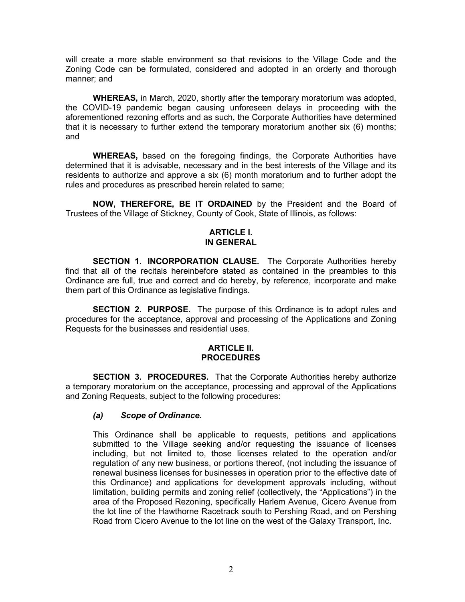will create a more stable environment so that revisions to the Village Code and the Zoning Code can be formulated, considered and adopted in an orderly and thorough manner; and

**WHEREAS,** in March, 2020, shortly after the temporary moratorium was adopted, the COVID-19 pandemic began causing unforeseen delays in proceeding with the aforementioned rezoning efforts and as such, the Corporate Authorities have determined that it is necessary to further extend the temporary moratorium another six (6) months; and

**WHEREAS,** based on the foregoing findings, the Corporate Authorities have determined that it is advisable, necessary and in the best interests of the Village and its residents to authorize and approve a six (6) month moratorium and to further adopt the rules and procedures as prescribed herein related to same;

**NOW, THEREFORE, BE IT ORDAINED** by the President and the Board of Trustees of the Village of Stickney, County of Cook, State of Illinois, as follows:

### **ARTICLE I. IN GENERAL**

**SECTION 1. INCORPORATION CLAUSE.** The Corporate Authorities hereby find that all of the recitals hereinbefore stated as contained in the preambles to this Ordinance are full, true and correct and do hereby, by reference, incorporate and make them part of this Ordinance as legislative findings.

**SECTION 2. PURPOSE.** The purpose of this Ordinance is to adopt rules and procedures for the acceptance, approval and processing of the Applications and Zoning Requests for the businesses and residential uses.

#### **ARTICLE II. PROCEDURES**

**SECTION 3. PROCEDURES.** That the Corporate Authorities hereby authorize a temporary moratorium on the acceptance, processing and approval of the Applications and Zoning Requests, subject to the following procedures:

### *(a) Scope of Ordinance.*

This Ordinance shall be applicable to requests, petitions and applications submitted to the Village seeking and/or requesting the issuance of licenses including, but not limited to, those licenses related to the operation and/or regulation of any new business, or portions thereof, (not including the issuance of renewal business licenses for businesses in operation prior to the effective date of this Ordinance) and applications for development approvals including, without limitation, building permits and zoning relief (collectively, the "Applications") in the area of the Proposed Rezoning, specifically Harlem Avenue, Cicero Avenue from the lot line of the Hawthorne Racetrack south to Pershing Road, and on Pershing Road from Cicero Avenue to the lot line on the west of the Galaxy Transport, Inc.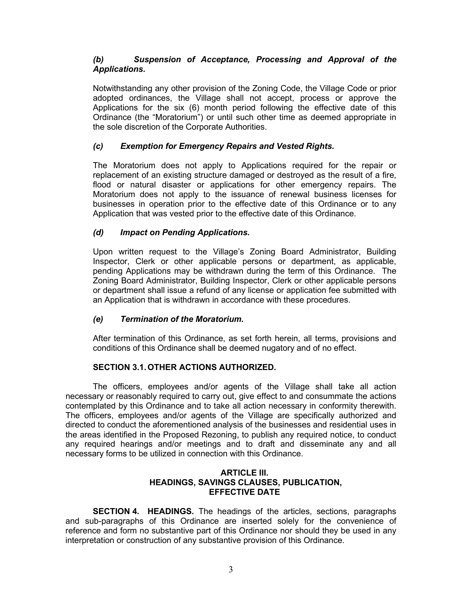# *(b) Suspension of Acceptance, Processing and Approval of the Applications.*

Notwithstanding any other provision of the Zoning Code, the Village Code or prior adopted ordinances, the Village shall not accept, process or approve the Applications for the six (6) month period following the effective date of this Ordinance (the "Moratorium") or until such other time as deemed appropriate in the sole discretion of the Corporate Authorities.

# *(c) Exemption for Emergency Repairs and Vested Rights.*

The Moratorium does not apply to Applications required for the repair or replacement of an existing structure damaged or destroyed as the result of a fire, flood or natural disaster or applications for other emergency repairs. The Moratorium does not apply to the issuance of renewal business licenses for businesses in operation prior to the effective date of this Ordinance or to any Application that was vested prior to the effective date of this Ordinance.

## *(d) Impact on Pending Applications.*

Upon written request to the Village's Zoning Board Administrator, Building Inspector, Clerk or other applicable persons or department, as applicable, pending Applications may be withdrawn during the term of this Ordinance. The Zoning Board Administrator, Building Inspector, Clerk or other applicable persons or department shall issue a refund of any license or application fee submitted with an Application that is withdrawn in accordance with these procedures.

## *(e) Termination of the Moratorium.*

After termination of this Ordinance, as set forth herein, all terms, provisions and conditions of this Ordinance shall be deemed nugatory and of no effect.

## **SECTION 3.1.OTHER ACTIONS AUTHORIZED.**

The officers, employees and/or agents of the Village shall take all action necessary or reasonably required to carry out, give effect to and consummate the actions contemplated by this Ordinance and to take all action necessary in conformity therewith. The officers, employees and/or agents of the Village are specifically authorized and directed to conduct the aforementioned analysis of the businesses and residential uses in the areas identified in the Proposed Rezoning, to publish any required notice, to conduct any required hearings and/or meetings and to draft and disseminate any and all necessary forms to be utilized in connection with this Ordinance.

## **ARTICLE III. HEADINGS, SAVINGS CLAUSES, PUBLICATION, EFFECTIVE DATE**

**SECTION 4. HEADINGS.** The headings of the articles, sections, paragraphs and sub-paragraphs of this Ordinance are inserted solely for the convenience of reference and form no substantive part of this Ordinance nor should they be used in any interpretation or construction of any substantive provision of this Ordinance.